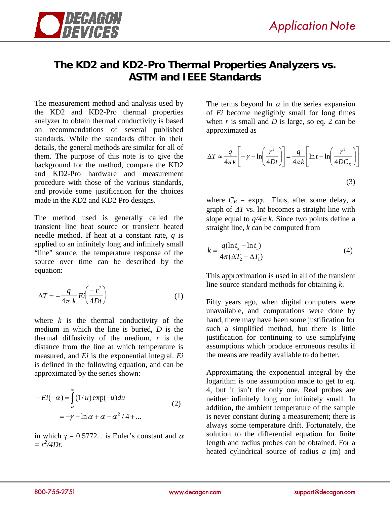

## **The KD2 and KD2-Pro Thermal Properties Analyzers vs. ASTM and IEEE Standards**

The measurement method and analysis used by the KD2 and KD2-Pro thermal properties analyzer to obtain thermal conductivity is based on recommendations of several published standards. While the standards differ in their details, the general methods are similar for all of them. The purpose of this note is to give the background for the method, compare the KD2 and KD2-Pro hardware and measurement procedure with those of the various standards, and provide some justification for the choices made in the KD2 and KD2 Pro designs.

The method used is generally called the transient line heat source or transient heated needle method. If heat at a constant rate, *q* is applied to an infinitely long and infinitely small "line" source, the temperature response of the source over time can be described by the equation:

$$
\Delta T = -\frac{q}{4\pi k} E i \left( \frac{-r^2}{4Dt} \right) \tag{1}
$$

where  $k$  is the thermal conductivity of the medium in which the line is buried, *D* is the thermal diffusivity of the medium, *r* is the distance from the line at which temperature is measured, and *Ei* is the exponential integral. *Ei* is defined in the following equation, and can be approximated by the series shown:

$$
-Ei(-\alpha) = \int_{\alpha}^{\infty} (1/u) \exp(-u) du
$$
  
=  $-\gamma - \ln \alpha + \alpha - \alpha^2 / 4 + ...$  (2)

in which  $\gamma = 0.5772...$  is Euler's constant and  $\alpha$  $= r^2/4Dt.$ 

The terms beyond ln  $\alpha$  in the series expansion of *Ei* become negligibly small for long times when *r* is small and *D* is large, so eq. 2 can be approximated as

$$
\Delta T \approx \frac{q}{4\pi k} \left[ -\gamma - \ln \left( \frac{r^2}{4Dt} \right) \right] = \frac{q}{4\pi k} \left[ \ln t - \ln \left( \frac{r^2}{4DC_E} \right) \right]
$$
\n(3)

where  $C_E = \exp \chi$ . Thus, after some delay, a graph of ∆*T* vs. ln*t* becomes a straight line with slope equal to  $q/4\pi k$ . Since two points define a straight line, *k* can be computed from

$$
k = \frac{q(\ln t_2 - \ln t_1)}{4\pi(\Delta T_2 - \Delta T_1)}
$$
(4)

This approximation is used in all of the transient line source standard methods for obtaining *k*.

Fifty years ago, when digital computers were unavailable, and computations were done by hand, there may have been some justification for such a simplified method, but there is little justification for continuing to use simplifying assumptions which produce erroneous results if the means are readily available to do better.

Approximating the exponential integral by the logarithm is one assumption made to get to eq. 4, but it isn't the only one. Real probes are neither infinitely long nor infinitely small. In addition, the ambient temperature of the sample is never constant during a measurement; there is always some temperature drift. Fortunately, the solution to the differential equation for finite length and radius probes can be obtained. For a heated cylindrical source of radius *a* (m) and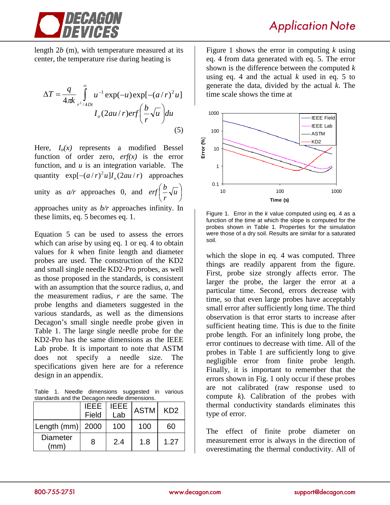

length 2*b* (m), with temperature measured at its center, the temperature rise during heating is

$$
\Delta T = \frac{q}{4\pi k} \int_{r^2/4Dt}^{\infty} u^{-1} \exp(-u) \exp[-(a/r)^2 u]
$$
  

$$
I_o(2au/r) erf \left(\frac{b}{r} \sqrt{u}\right) du
$$
 (5)

Here,  $I_0(x)$  represents a modified Bessel function of order zero,  $erf(x)$  is the error function, and *u* is an integration variable. The quantity  $\exp[-(a/r)^2 u]I_o(2au/r)$  approaches unity as  $a/r$  approaches 0, and  $erf\left|\frac{b}{r}\sqrt{u}\right|$ J  $\left(\frac{b}{-\sqrt{u}}\right)$ L  $\left(\frac{b}{-}\sqrt{u}\right)$ *r <sup>b</sup> erf* approaches unity as *b/r* approaches infinity. In these limits, eq. 5 becomes eq. 1.

Equation 5 can be used to assess the errors which can arise by using eq. 1 or eq. 4 to obtain values for *k* when finite length and diameter probes are used. The construction of the KD2 and small single needle KD2-Pro probes, as well as those proposed in the standards, is consistent with an assumption that the source radius, *a*, and the measurement radius, *r* are the same. The probe lengths and diameters suggested in the various standards, as well as the dimensions Decagon's small single needle probe given in Table 1. The large single needle probe for the KD2-Pro has the same dimensions as the IEEE Lab probe. It is important to note that ASTM does not specify a needle size. The specifications given here are for a reference design in an appendix.

Table 1. Needle dimensions suggested in various standards and the Decagon needle dimensions.

|                         | <b>IEEE</b> | IEEE. | <b>ASTM</b> | KD <sub>2</sub> |
|-------------------------|-------------|-------|-------------|-----------------|
|                         | Field       | Lab   |             |                 |
| Length (mm)   2000      |             | 100   | 100         | 60              |
| <b>Diameter</b><br>(mm) | 8           | 2.4   | 1.8         | 1.27            |

Application Note

Figure 1 shows the error in computing *k* using eq. 4 from data generated with eq. 5. The error shown is the difference between the computed *k* using eq. 4 and the actual *k* used in eq. 5 to generate the data, divided by the actual *k*. The time scale shows the time at



Figure 1. Error in the *k* value computed using eq. 4 as a function of the time at which the slope is computed for the probes shown in Table 1. Properties for the simulation were those of a dry soil. Results are similar for a saturated soil.

which the slope in eq. 4 was computed. Three things are readily apparent from the figure. First, probe size strongly affects error. The larger the probe, the larger the error at a particular time. Second, errors decrease with time, so that even large probes have acceptably small error after sufficiently long time. The third observation is that error starts to increase after sufficient heating time. This is due to the finite probe length. For an infinitely long probe, the error continues to decrease with time. All of the probes in Table 1 are sufficiently long to give negligible error from finite probe length. Finally, it is important to remember that the errors shown in Fig. 1 only occur if these probes are not calibrated (raw response used to compute *k*). Calibration of the probes with thermal conductivity standards eliminates this type of error.

The effect of finite probe diameter on measurement error is always in the direction of overestimating the thermal conductivity. All of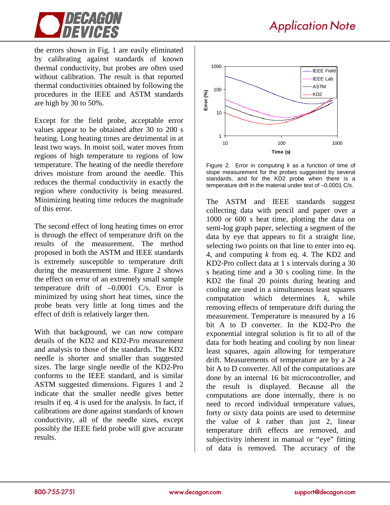

the errors shown in Fig. 1 are easily eliminated by calibrating against standards of known thermal conductivity, but probes are often used without calibration. The result is that reported thermal conductivities obtained by following the procedures in the IEEE and ASTM standards are high by 30 to 50%.

Except for the field probe, acceptable error values appear to be obtained after 30 to 200 s heating. Long heating times are detrimental in at least two ways. In moist soil, water moves from regions of high temperature to regions of low temperature. The heating of the needle therefore drives moisture from around the needle. This reduces the thermal conductivity in exactly the region where conductivity is being measured. Minimizing heating time reduces the magnitude of this error.

The second effect of long heating times on error is through the effect of temperature drift on the results of the measurement. The method proposed in both the ASTM and IEEE standards is extremely susceptible to temperature drift during the measurement time. Figure 2 shows the effect on error of an extremely small sample temperature drift of –0.0001 C/s. Error is minimized by using short heat times, since the probe heats very little at long times and the effect of drift is relatively larger then.

With that background, we can now compare details of the KD2 and KD2-Pro measurement and analysis to those of the standards. The KD2 needle is shorter and smaller than suggested sizes. The large single needle of the KD2-Pro conforms to the IEEE standard, and is similar ASTM suggested dimensions. Figures 1 and 2 indicate that the smaller needle gives better results if eq. 4 is used for the analysis. In fact, if calibrations are done against standards of known conductivity, all of the needle sizes, except possibly the IEEE field probe will give accurate results.



Figure 2. Error in computing *k* as a function of time of slope measurement for the probes suggested by several standards, and for the KD2 probe when there is a temperature drift in the material under test of –0.0001 C/s.

The ASTM and IEEE standards suggest collecting data with pencil and paper over a 1000 or 600 s heat time, plotting the data on semi-log graph paper, selecting a segment of the data by eye that appears to fit a straight line, selecting two points on that line to enter into eq. 4, and computing *k* from eq. 4. The KD2 and KD2-Pro collect data at 1 s intervals during a 30 s heating time and a 30 s cooling time. In the KD2 the final 20 points during heating and cooling are used in a simultaneous least squares computation which determines *k*, while removing effects of temperature drift during the measurement. Temperature is measured by a 16 bit A to D converter. In the KD2-Pro the exponential integral solution is fit to all of the data for both heating and cooling by non linear least squares, again allowing for temperature drift. Measurements of temperature are by a 24 bit A to D converter. All of the computations are done by an internal 16 bit microcontroller, and the result is displayed. Because all the computations are done internally, there is no need to record individual temperature values, forty or sixty data points are used to determine the value of *k* rather than just 2, linear temperature drift effects are removed, and subjectivity inherent in manual or "eye" fitting of data is removed. The accuracy of the